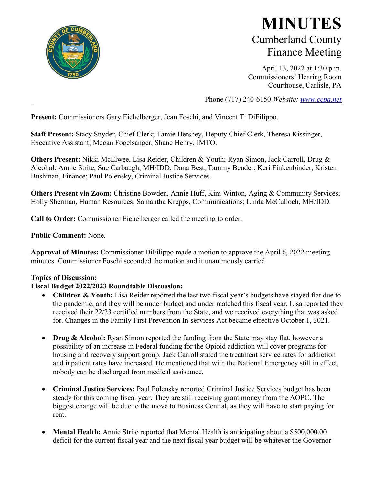

## **MINUTES** Cumberland County Finance Meeting

April 13, 2022 at 1:30 p.m. Commissioners' Hearing Room Courthouse, Carlisle, PA

Phone (717) 240-6150 *Website: [www.ccpa.net](http://www.ccpa.net/)*

**Present:** Commissioners Gary Eichelberger, Jean Foschi, and Vincent T. DiFilippo.

**Staff Present:** Stacy Snyder, Chief Clerk; Tamie Hershey, Deputy Chief Clerk, Theresa Kissinger, Executive Assistant; Megan Fogelsanger, Shane Henry, IMTO.

**Others Present:** Nikki McElwee, Lisa Reider, Children & Youth; Ryan Simon, Jack Carroll, Drug & Alcohol; Annie Strite, Sue Carbaugh, MH/IDD; Dana Best, Tammy Bender, Keri Finkenbinder, Kristen Bushman, Finance; Paul Polensky, Criminal Justice Services.

**Others Present via Zoom:** Christine Bowden, Annie Huff, Kim Winton, Aging & Community Services; Holly Sherman, Human Resources; Samantha Krepps, Communications; Linda McCulloch, MH/IDD.

**Call to Order:** Commissioner Eichelberger called the meeting to order.

**Public Comment:** None.

**Approval of Minutes:** Commissioner DiFilippo made a motion to approve the April 6, 2022 meeting minutes. Commissioner Foschi seconded the motion and it unanimously carried.

## **Topics of Discussion:**

## **Fiscal Budget 2022/2023 Roundtable Discussion:**

- **Children & Youth:** Lisa Reider reported the last two fiscal year's budgets have stayed flat due to the pandemic, and they will be under budget and under matched this fiscal year. Lisa reported they received their 22/23 certified numbers from the State, and we received everything that was asked for. Changes in the Family First Prevention In-services Act became effective October 1, 2021.
- **Drug & Alcohol:** Ryan Simon reported the funding from the State may stay flat, however a possibility of an increase in Federal funding for the Opioid addiction will cover programs for housing and recovery support group. Jack Carroll stated the treatment service rates for addiction and inpatient rates have increased. He mentioned that with the National Emergency still in effect, nobody can be discharged from medical assistance.
- **Criminal Justice Services:** Paul Polensky reported Criminal Justice Services budget has been steady for this coming fiscal year. They are still receiving grant money from the AOPC. The biggest change will be due to the move to Business Central, as they will have to start paying for rent.
- **Mental Health:** Annie Strite reported that Mental Health is anticipating about a \$500,000.00 deficit for the current fiscal year and the next fiscal year budget will be whatever the Governor